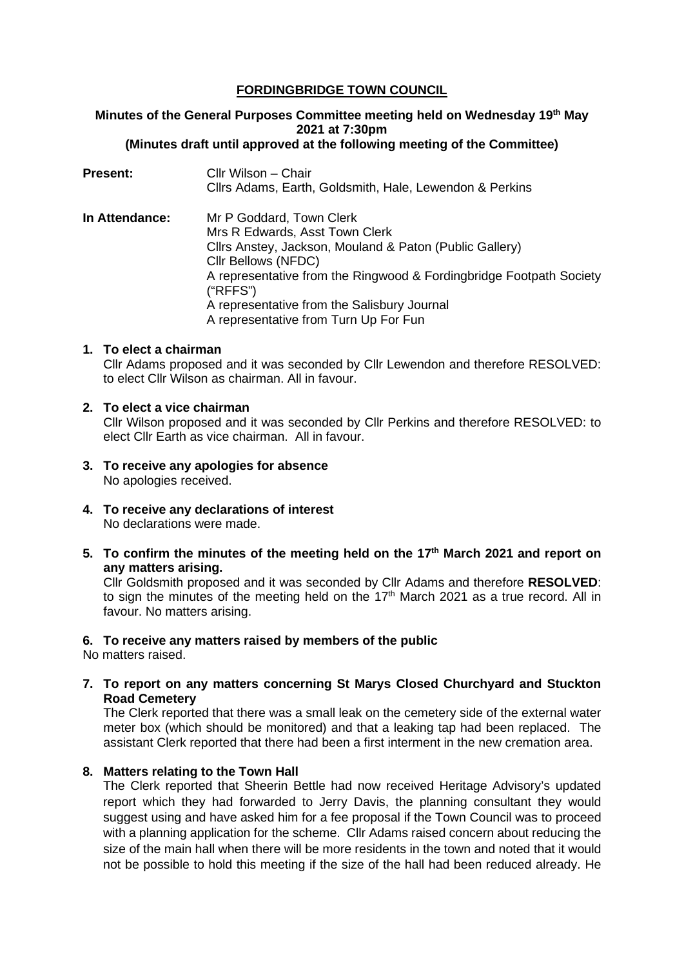# **FORDINGBRIDGE TOWN COUNCIL**

#### **Minutes of the General Purposes Committee meeting held on Wednesday 19th May 2021 at 7:30pm (Minutes draft until approved at the following meeting of the Committee)**

| <b>Present:</b> | Cllr Wilson – Chair<br>Cllrs Adams, Earth, Goldsmith, Hale, Lewendon & Perkins                                                                                                                                                                                                                                          |
|-----------------|-------------------------------------------------------------------------------------------------------------------------------------------------------------------------------------------------------------------------------------------------------------------------------------------------------------------------|
| In Attendance:  | Mr P Goddard, Town Clerk<br>Mrs R Edwards, Asst Town Clerk<br>Cllrs Anstey, Jackson, Mouland & Paton (Public Gallery)<br>Cllr Bellows (NFDC)<br>A representative from the Ringwood & Fordingbridge Footpath Society<br>("RFFS")<br>A representative from the Salisbury Journal<br>A representative from Turn Up For Fun |

### **1. To elect a chairman**

Cllr Adams proposed and it was seconded by Cllr Lewendon and therefore RESOLVED: to elect Cllr Wilson as chairman. All in favour.

### **2. To elect a vice chairman**

Cllr Wilson proposed and it was seconded by Cllr Perkins and therefore RESOLVED: to elect Cllr Earth as vice chairman. All in favour.

- **3. To receive any apologies for absence** No apologies received.
- **4. To receive any declarations of interest** No declarations were made.
- **5. To confirm the minutes of the meeting held on the 17th March 2021 and report on any matters arising.**

Cllr Goldsmith proposed and it was seconded by Cllr Adams and therefore **RESOLVED**: to sign the minutes of the meeting held on the 17<sup>th</sup> March 2021 as a true record. All in favour. No matters arising.

#### **6. To receive any matters raised by members of the public**

No matters raised.

**7. To report on any matters concerning St Marys Closed Churchyard and Stuckton Road Cemetery**

The Clerk reported that there was a small leak on the cemetery side of the external water meter box (which should be monitored) and that a leaking tap had been replaced. The assistant Clerk reported that there had been a first interment in the new cremation area.

#### **8. Matters relating to the Town Hall**

The Clerk reported that Sheerin Bettle had now received Heritage Advisory's updated report which they had forwarded to Jerry Davis, the planning consultant they would suggest using and have asked him for a fee proposal if the Town Council was to proceed with a planning application for the scheme. Cllr Adams raised concern about reducing the size of the main hall when there will be more residents in the town and noted that it would not be possible to hold this meeting if the size of the hall had been reduced already. He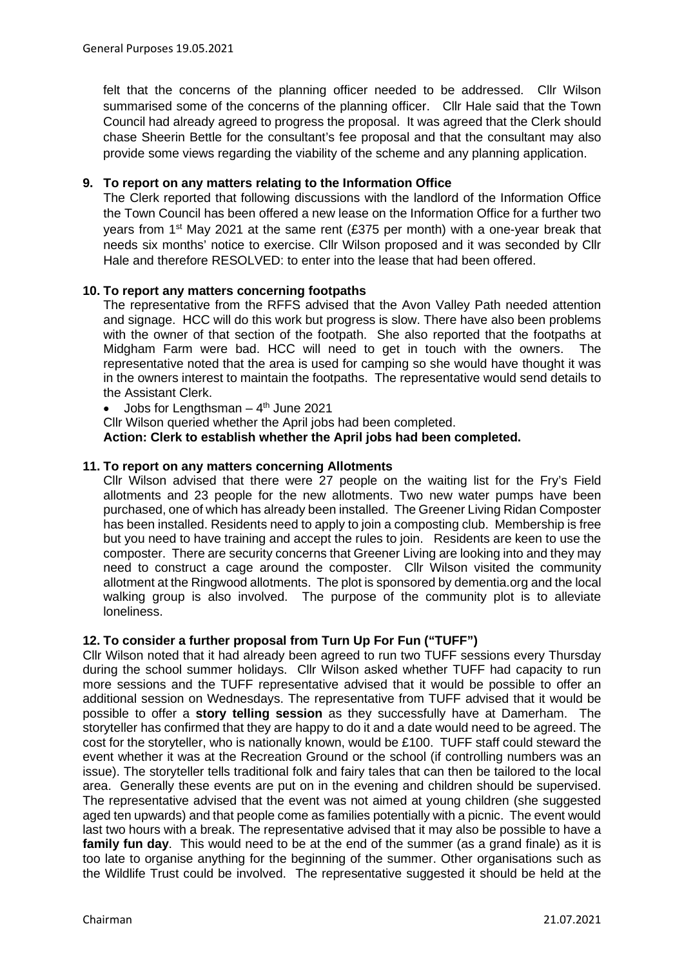felt that the concerns of the planning officer needed to be addressed. Cllr Wilson summarised some of the concerns of the planning officer. Cllr Hale said that the Town Council had already agreed to progress the proposal. It was agreed that the Clerk should chase Sheerin Bettle for the consultant's fee proposal and that the consultant may also provide some views regarding the viability of the scheme and any planning application.

# **9. To report on any matters relating to the Information Office**

The Clerk reported that following discussions with the landlord of the Information Office the Town Council has been offered a new lease on the Information Office for a further two years from 1<sup>st</sup> May 2021 at the same rent (£375 per month) with a one-year break that needs six months' notice to exercise. Cllr Wilson proposed and it was seconded by Cllr Hale and therefore RESOLVED: to enter into the lease that had been offered.

## **10. To report any matters concerning footpaths**

The representative from the RFFS advised that the Avon Valley Path needed attention and signage. HCC will do this work but progress is slow. There have also been problems with the owner of that section of the footpath. She also reported that the footpaths at Midgham Farm were bad. HCC will need to get in touch with the owners. The representative noted that the area is used for camping so she would have thought it was in the owners interest to maintain the footpaths. The representative would send details to the Assistant Clerk.

Jobs for Lengthsman  $-4$ <sup>th</sup> June 2021

Cllr Wilson queried whether the April jobs had been completed.

**Action: Clerk to establish whether the April jobs had been completed.**

## **11. To report on any matters concerning Allotments**

Cllr Wilson advised that there were 27 people on the waiting list for the Fry's Field allotments and 23 people for the new allotments. Two new water pumps have been purchased, one of which has already been installed. The Greener Living Ridan Composter has been installed. Residents need to apply to join a composting club. Membership is free but you need to have training and accept the rules to join. Residents are keen to use the composter. There are security concerns that Greener Living are looking into and they may need to construct a cage around the composter. Cllr Wilson visited the community allotment at the Ringwood allotments. The plot is sponsored by dementia.org and the local walking group is also involved. The purpose of the community plot is to alleviate loneliness.

# **12. To consider a further proposal from Turn Up For Fun ("TUFF")**

Cllr Wilson noted that it had already been agreed to run two TUFF sessions every Thursday during the school summer holidays. Cllr Wilson asked whether TUFF had capacity to run more sessions and the TUFF representative advised that it would be possible to offer an additional session on Wednesdays. The representative from TUFF advised that it would be possible to offer a **story telling session** as they successfully have at Damerham. The storyteller has confirmed that they are happy to do it and a date would need to be agreed. The cost for the storyteller, who is nationally known, would be £100. TUFF staff could steward the event whether it was at the Recreation Ground or the school (if controlling numbers was an issue). The storyteller tells traditional folk and fairy tales that can then be tailored to the local area. Generally these events are put on in the evening and children should be supervised. The representative advised that the event was not aimed at young children (she suggested aged ten upwards) and that people come as families potentially with a picnic. The event would last two hours with a break. The representative advised that it may also be possible to have a **family fun day**. This would need to be at the end of the summer (as a grand finale) as it is too late to organise anything for the beginning of the summer. Other organisations such as the Wildlife Trust could be involved. The representative suggested it should be held at the